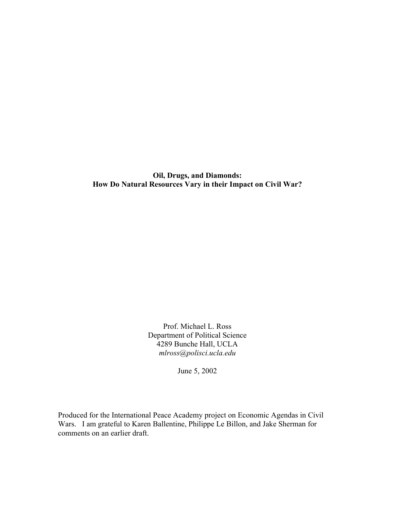**Oil, Drugs, and Diamonds: How Do Natural Resources Vary in their Impact on Civil War?** 

> Prof. Michael L. Ross Department of Political Science 4289 Bunche Hall, UCLA *mlross@polisci.ucla.edu*

> > June 5, 2002

Produced for the International Peace Academy project on Economic Agendas in Civil Wars. I am grateful to Karen Ballentine, Philippe Le Billon, and Jake Sherman for comments on an earlier draft.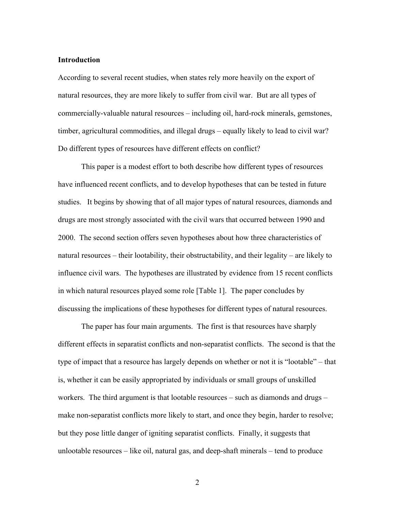#### **Introduction**

According to several recent studies, when states rely more heavily on the export of natural resources, they are more likely to suffer from civil war. But are all types of commercially-valuable natural resources – including oil, hard-rock minerals, gemstones, timber, agricultural commodities, and illegal drugs – equally likely to lead to civil war? Do different types of resources have different effects on conflict?

This paper is a modest effort to both describe how different types of resources have influenced recent conflicts, and to develop hypotheses that can be tested in future studies. It begins by showing that of all major types of natural resources, diamonds and drugs are most strongly associated with the civil wars that occurred between 1990 and 2000. The second section offers seven hypotheses about how three characteristics of natural resources – their lootability, their obstructability, and their legality – are likely to influence civil wars. The hypotheses are illustrated by evidence from 15 recent conflicts in which natural resources played some role [Table 1]. The paper concludes by discussing the implications of these hypotheses for different types of natural resources.

The paper has four main arguments. The first is that resources have sharply different effects in separatist conflicts and non-separatist conflicts. The second is that the type of impact that a resource has largely depends on whether or not it is "lootable" – that is, whether it can be easily appropriated by individuals or small groups of unskilled workers. The third argument is that lootable resources – such as diamonds and drugs – make non-separatist conflicts more likely to start, and once they begin, harder to resolve; but they pose little danger of igniting separatist conflicts. Finally, it suggests that unlootable resources – like oil, natural gas, and deep-shaft minerals – tend to produce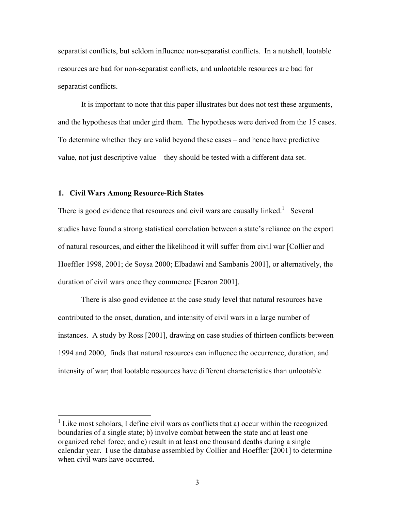separatist conflicts, but seldom influence non-separatist conflicts. In a nutshell, lootable resources are bad for non-separatist conflicts, and unlootable resources are bad for separatist conflicts.

It is important to note that this paper illustrates but does not test these arguments, and the hypotheses that under gird them. The hypotheses were derived from the 15 cases. To determine whether they are valid beyond these cases – and hence have predictive value, not just descriptive value – they should be tested with a different data set.

#### **1. Civil Wars Among Resource-Rich States**

 $\overline{a}$ 

There is good evidence that resources and civil wars are causally linked.<sup>1</sup> Several studies have found a strong statistical correlation between a state's reliance on the export of natural resources, and either the likelihood it will suffer from civil war [Collier and Hoeffler 1998, 2001; de Soysa 2000; Elbadawi and Sambanis 2001], or alternatively, the duration of civil wars once they commence [Fearon 2001].

There is also good evidence at the case study level that natural resources have contributed to the onset, duration, and intensity of civil wars in a large number of instances. A study by Ross [2001], drawing on case studies of thirteen conflicts between 1994 and 2000, finds that natural resources can influence the occurrence, duration, and intensity of war; that lootable resources have different characteristics than unlootable

<span id="page-2-0"></span> $<sup>1</sup>$  Like most scholars, I define civil wars as conflicts that a) occur within the recognized</sup> boundaries of a single state; b) involve combat between the state and at least one organized rebel force; and c) result in at least one thousand deaths during a single calendar year. I use the database assembled by Collier and Hoeffler [2001] to determine when civil wars have occurred.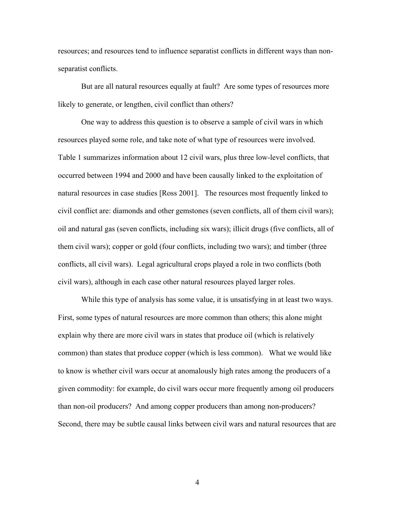resources; and resources tend to influence separatist conflicts in different ways than nonseparatist conflicts.

But are all natural resources equally at fault? Are some types of resources more likely to generate, or lengthen, civil conflict than others?

One way to address this question is to observe a sample of civil wars in which resources played some role, and take note of what type of resources were involved. Table 1 summarizes information about 12 civil wars, plus three low-level conflicts, that occurred between 1994 and 2000 and have been causally linked to the exploitation of natural resources in case studies [Ross 2001]. The resources most frequently linked to civil conflict are: diamonds and other gemstones (seven conflicts, all of them civil wars); oil and natural gas (seven conflicts, including six wars); illicit drugs (five conflicts, all of them civil wars); copper or gold (four conflicts, including two wars); and timber (three conflicts, all civil wars). Legal agricultural crops played a role in two conflicts (both civil wars), although in each case other natural resources played larger roles.

While this type of analysis has some value, it is unsatisfying in at least two ways. First, some types of natural resources are more common than others; this alone might explain why there are more civil wars in states that produce oil (which is relatively common) than states that produce copper (which is less common). What we would like to know is whether civil wars occur at anomalously high rates among the producers of a given commodity: for example, do civil wars occur more frequently among oil producers than non-oil producers? And among copper producers than among non-producers? Second, there may be subtle causal links between civil wars and natural resources that are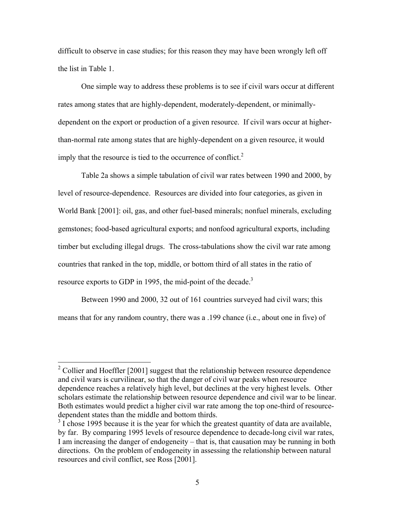difficult to observe in case studies; for this reason they may have been wrongly left off the list in Table 1.

One simple way to address these problems is to see if civil wars occur at different rates among states that are highly-dependent, moderately-dependent, or minimallydependent on the export or production of a given resource. If civil wars occur at higherthan-normal rate among states that are highly-dependent on a given resource, it would imply that the resource is tied to the occurrence of conflict. $2$ 

Table 2a shows a simple tabulation of civil war rates between 1990 and 2000, by level of resource-dependence. Resources are divided into four categories, as given in World Bank [2001]: oil, gas, and other fuel-based minerals; nonfuel minerals, excluding gemstones; food-based agricultural exports; and nonfood agricultural exports, including timber but excluding illegal drugs. The cross-tabulations show the civil war rate among countries that ranked in the top, middle, or bottom third of all states in the ratio of resource exports to GDP in 1995, the mid-point of the decade.<sup>[3](#page-4-1)</sup>

Between 1990 and 2000, 32 out of 161 countries surveyed had civil wars; this means that for any random country, there was a .199 chance (i.e., about one in five) of

<span id="page-4-0"></span><sup>&</sup>lt;sup>2</sup> Collier and Hoeffler [2001] suggest that the relationship between resource dependence and civil wars is curvilinear, so that the danger of civil war peaks when resource dependence reaches a relatively high level, but declines at the very highest levels. Other scholars estimate the relationship between resource dependence and civil war to be linear. Both estimates would predict a higher civil war rate among the top one-third of resourcedependent states than the middle and bottom thirds.

<span id="page-4-1"></span> $3\text{ I}$  chose 1995 because it is the year for which the greatest quantity of data are available, by far. By comparing 1995 levels of resource dependence to decade-long civil war rates, I am increasing the danger of endogeneity – that is, that causation may be running in both directions. On the problem of endogeneity in assessing the relationship between natural resources and civil conflict, see Ross [2001].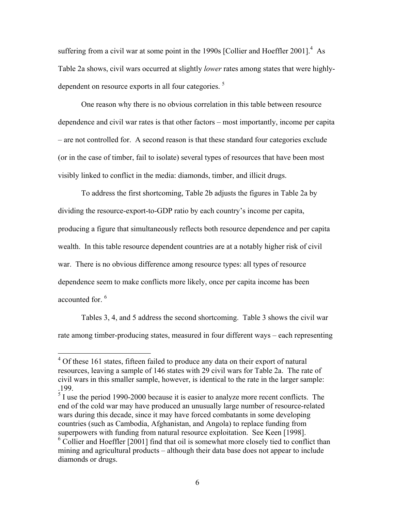suffering from a civil war at some point in the 1990s [Collier and Hoeffler 2001]. $4$  As Table 2a shows, civil wars occurred at slightly *lower* rates among states that were highlydependent on resource exports in all four categories.<sup>5</sup>

One reason why there is no obvious correlation in this table between resource dependence and civil war rates is that other factors – most importantly, income per capita – are not controlled for. A second reason is that these standard four categories exclude (or in the case of timber, fail to isolate) several types of resources that have been most visibly linked to conflict in the media: diamonds, timber, and illicit drugs.

To address the first shortcoming, Table 2b adjusts the figures in Table 2a by dividing the resource-export-to-GDP ratio by each country's income per capita, producing a figure that simultaneously reflects both resource dependence and per capita wealth. In this table resource dependent countries are at a notably higher risk of civil war. There is no obvious difference among resource types: all types of resource dependence seem to make conflicts more likely, once per capita income has been accounted for  $6$ 

Tables 3, 4, and 5 address the second shortcoming. Table 3 shows the civil war rate among timber-producing states, measured in four different ways – each representing

<span id="page-5-0"></span><sup>&</sup>lt;sup>4</sup> Of these 161 states, fifteen failed to produce any data on their export of natural resources, leaving a sample of 146 states with 29 civil wars for Table 2a. The rate of civil wars in this smaller sample, however, is identical to the rate in the larger sample: .199.

<span id="page-5-1"></span> $<sup>5</sup>$  I use the period 1990-2000 because it is easier to analyze more recent conflicts. The</sup> end of the cold war may have produced an unusually large number of resource-related wars during this decade, since it may have forced combatants in some developing countries (such as Cambodia, Afghanistan, and Angola) to replace funding from superpowers with funding from natural resource exploitation. See Keen [1998].

<span id="page-5-2"></span><sup>&</sup>lt;sup>6</sup> Collier and Hoeffler [2001] find that oil is somewhat more closely tied to conflict than mining and agricultural products – although their data base does not appear to include diamonds or drugs.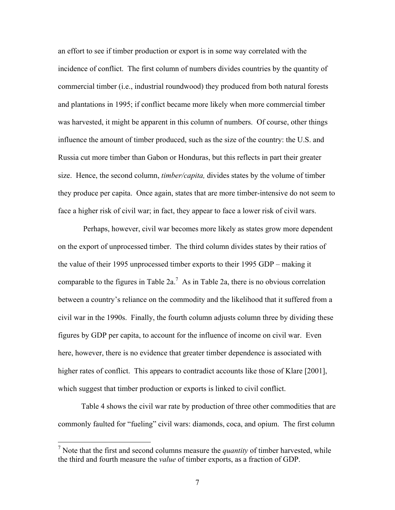an effort to see if timber production or export is in some way correlated with the incidence of conflict. The first column of numbers divides countries by the quantity of commercial timber (i.e., industrial roundwood) they produced from both natural forests and plantations in 1995; if conflict became more likely when more commercial timber was harvested, it might be apparent in this column of numbers. Of course, other things influence the amount of timber produced, such as the size of the country: the U.S. and Russia cut more timber than Gabon or Honduras, but this reflects in part their greater size. Hence, the second column, *timber/capita,* divides states by the volume of timber they produce per capita. Once again, states that are more timber-intensive do not seem to face a higher risk of civil war; in fact, they appear to face a lower risk of civil wars.

 Perhaps, however, civil war becomes more likely as states grow more dependent on the export of unprocessed timber. The third column divides states by their ratios of the value of their 1995 unprocessed timber exports to their 1995 GDP – making it comparable to the figures in Table 2a.<sup>[7](#page-6-0)</sup> As in Table 2a, there is no obvious correlation between a country's reliance on the commodity and the likelihood that it suffered from a civil war in the 1990s. Finally, the fourth column adjusts column three by dividing these figures by GDP per capita, to account for the influence of income on civil war. Even here, however, there is no evidence that greater timber dependence is associated with higher rates of conflict. This appears to contradict accounts like those of Klare [2001], which suggest that timber production or exports is linked to civil conflict.

Table 4 shows the civil war rate by production of three other commodities that are commonly faulted for "fueling" civil wars: diamonds, coca, and opium. The first column

<span id="page-6-0"></span><sup>&</sup>lt;sup>7</sup> Note that the first and second columns measure the *quantity* of timber harvested, while the third and fourth measure the *value* of timber exports, as a fraction of GDP.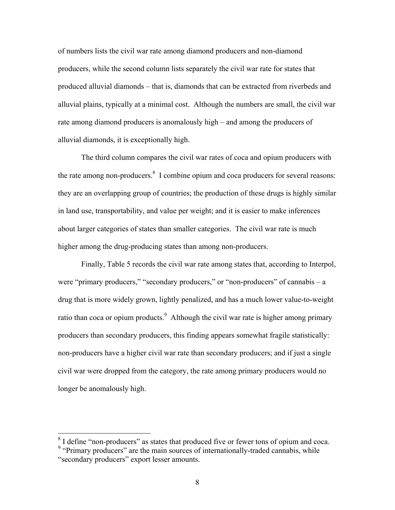of numbers lists the civil war rate among diamond producers and non-diamond producers, while the second column lists separately the civil war rate for states that produced alluvial diamonds – that is, diamonds that can be extracted from riverbeds and alluvial plains, typically at a minimal cost. Although the numbers are small, the civil war rate among diamond producers is anomalously high – and among the producers of alluvial diamonds, it is exceptionally high.

The third column compares the civil war rates of coca and opium producers with the rate among non-producers. $8 \text{ I}$  $8 \text{ I}$  combine opium and coca producers for several reasons: they are an overlapping group of countries; the production of these drugs is highly similar in land use, transportability, and value per weight; and it is easier to make inferences about larger categories of states than smaller categories. The civil war rate is much higher among the drug-producing states than among non-producers.

Finally, Table 5 records the civil war rate among states that, according to Interpol, were "primary producers," "secondary producers," or "non-producers" of cannabis – a drug that is more widely grown, lightly penalized, and has a much lower value-to-weight ratio than coca or opium products.<sup>[9](#page-7-1)</sup> Although the civil war rate is higher among primary producers than secondary producers, this finding appears somewhat fragile statistically: non-producers have a higher civil war rate than secondary producers; and if just a single civil war were dropped from the category, the rate among primary producers would no longer be anomalously high.

<span id="page-7-1"></span><span id="page-7-0"></span> $8$  I define "non-producers" as states that produced five or fewer tons of opium and coca. <sup>9</sup> "Primary producers" are the main sources of internationally-traded cannabis, while "secondary producers" export lesser amounts.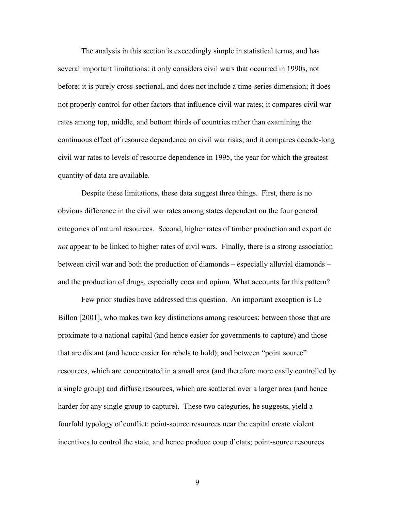The analysis in this section is exceedingly simple in statistical terms, and has several important limitations: it only considers civil wars that occurred in 1990s, not before; it is purely cross-sectional, and does not include a time-series dimension; it does not properly control for other factors that influence civil war rates; it compares civil war rates among top, middle, and bottom thirds of countries rather than examining the continuous effect of resource dependence on civil war risks; and it compares decade-long civil war rates to levels of resource dependence in 1995, the year for which the greatest quantity of data are available.

Despite these limitations, these data suggest three things. First, there is no obvious difference in the civil war rates among states dependent on the four general categories of natural resources. Second, higher rates of timber production and export do *not* appear to be linked to higher rates of civil wars. Finally, there is a strong association between civil war and both the production of diamonds – especially alluvial diamonds – and the production of drugs, especially coca and opium. What accounts for this pattern?

Few prior studies have addressed this question. An important exception is Le Billon [2001], who makes two key distinctions among resources: between those that are proximate to a national capital (and hence easier for governments to capture) and those that are distant (and hence easier for rebels to hold); and between "point source" resources, which are concentrated in a small area (and therefore more easily controlled by a single group) and diffuse resources, which are scattered over a larger area (and hence harder for any single group to capture). These two categories, he suggests, yield a fourfold typology of conflict: point-source resources near the capital create violent incentives to control the state, and hence produce coup d'etats; point-source resources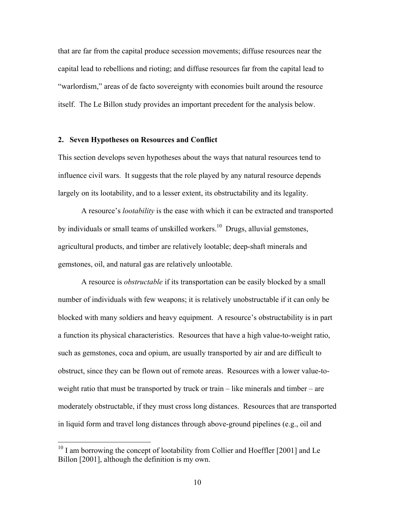that are far from the capital produce secession movements; diffuse resources near the capital lead to rebellions and rioting; and diffuse resources far from the capital lead to "warlordism," areas of de facto sovereignty with economies built around the resource itself. The Le Billon study provides an important precedent for the analysis below.

#### **2. Seven Hypotheses on Resources and Conflict**

This section develops seven hypotheses about the ways that natural resources tend to influence civil wars. It suggests that the role played by any natural resource depends largely on its lootability, and to a lesser extent, its obstructability and its legality.

A resource's *lootability* is the ease with which it can be extracted and transported by individuals or small teams of unskilled workers.<sup>10</sup> Drugs, alluvial gemstones, agricultural products, and timber are relatively lootable; deep-shaft minerals and gemstones, oil, and natural gas are relatively unlootable.

A resource is *obstructable* if its transportation can be easily blocked by a small number of individuals with few weapons; it is relatively unobstructable if it can only be blocked with many soldiers and heavy equipment. A resource's obstructability is in part a function its physical characteristics. Resources that have a high value-to-weight ratio, such as gemstones, coca and opium, are usually transported by air and are difficult to obstruct, since they can be flown out of remote areas. Resources with a lower value-toweight ratio that must be transported by truck or train – like minerals and timber – are moderately obstructable, if they must cross long distances. Resources that are transported in liquid form and travel long distances through above-ground pipelines (e.g., oil and

<span id="page-9-0"></span> $10$  I am borrowing the concept of lootability from Collier and Hoeffler [2001] and Le Billon [2001], although the definition is my own.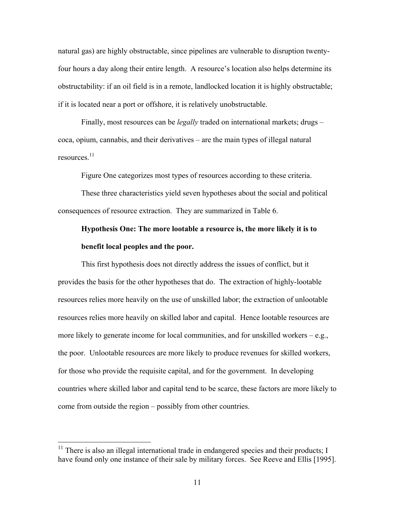natural gas) are highly obstructable, since pipelines are vulnerable to disruption twentyfour hours a day along their entire length. A resource's location also helps determine its obstructability: if an oil field is in a remote, landlocked location it is highly obstructable; if it is located near a port or offshore, it is relatively unobstructable.

Finally, most resources can be *legally* traded on international markets; drugs – coca, opium, cannabis, and their derivatives – are the main types of illegal natural resources[.11](#page-10-0)

Figure One categorizes most types of resources according to these criteria.

These three characteristics yield seven hypotheses about the social and political consequences of resource extraction. They are summarized in Table 6.

### **Hypothesis One: The more lootable a resource is, the more likely it is to benefit local peoples and the poor.**

This first hypothesis does not directly address the issues of conflict, but it provides the basis for the other hypotheses that do. The extraction of highly-lootable resources relies more heavily on the use of unskilled labor; the extraction of unlootable resources relies more heavily on skilled labor and capital. Hence lootable resources are more likely to generate income for local communities, and for unskilled workers  $-e.g.,$ the poor. Unlootable resources are more likely to produce revenues for skilled workers, for those who provide the requisite capital, and for the government. In developing countries where skilled labor and capital tend to be scarce, these factors are more likely to come from outside the region – possibly from other countries.

<span id="page-10-0"></span> $11$  There is also an illegal international trade in endangered species and their products; I have found only one instance of their sale by military forces. See Reeve and Ellis [1995].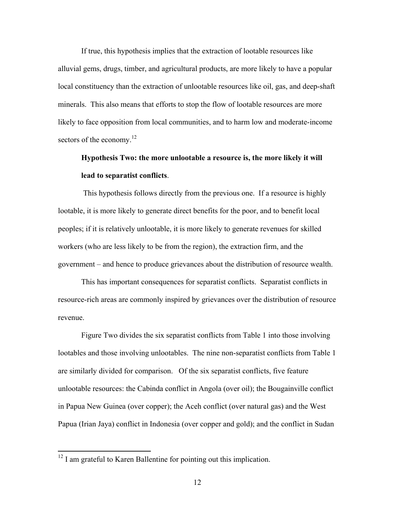If true, this hypothesis implies that the extraction of lootable resources like alluvial gems, drugs, timber, and agricultural products, are more likely to have a popular local constituency than the extraction of unlootable resources like oil, gas, and deep-shaft minerals. This also means that efforts to stop the flow of lootable resources are more likely to face opposition from local communities, and to harm low and moderate-income sectors of the economy.<sup>[12](#page-11-0)</sup>

### **Hypothesis Two: the more unlootable a resource is, the more likely it will lead to separatist conflicts**.

 This hypothesis follows directly from the previous one. If a resource is highly lootable, it is more likely to generate direct benefits for the poor, and to benefit local peoples; if it is relatively unlootable, it is more likely to generate revenues for skilled workers (who are less likely to be from the region), the extraction firm, and the government – and hence to produce grievances about the distribution of resource wealth.

This has important consequences for separatist conflicts. Separatist conflicts in resource-rich areas are commonly inspired by grievances over the distribution of resource revenue.

Figure Two divides the six separatist conflicts from Table 1 into those involving lootables and those involving unlootables. The nine non-separatist conflicts from Table 1 are similarly divided for comparison. Of the six separatist conflicts, five feature unlootable resources: the Cabinda conflict in Angola (over oil); the Bougainville conflict in Papua New Guinea (over copper); the Aceh conflict (over natural gas) and the West Papua (Irian Jaya) conflict in Indonesia (over copper and gold); and the conflict in Sudan

<span id="page-11-0"></span> $12$  I am grateful to Karen Ballentine for pointing out this implication.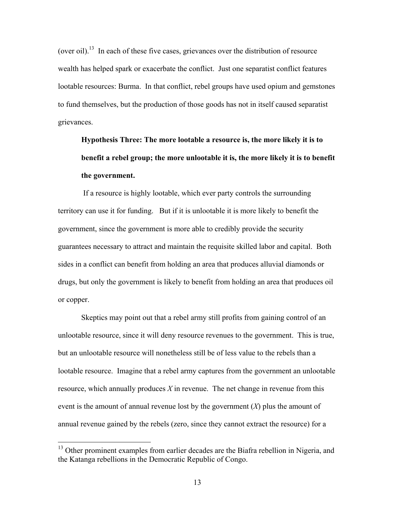(over oil).<sup>13</sup> In each of these five cases, grievances over the distribution of resource wealth has helped spark or exacerbate the conflict. Just one separatist conflict features lootable resources: Burma. In that conflict, rebel groups have used opium and gemstones to fund themselves, but the production of those goods has not in itself caused separatist grievances.

# **Hypothesis Three: The more lootable a resource is, the more likely it is to benefit a rebel group; the more unlootable it is, the more likely it is to benefit the government.**

 If a resource is highly lootable, which ever party controls the surrounding territory can use it for funding. But if it is unlootable it is more likely to benefit the government, since the government is more able to credibly provide the security guarantees necessary to attract and maintain the requisite skilled labor and capital. Both sides in a conflict can benefit from holding an area that produces alluvial diamonds or drugs, but only the government is likely to benefit from holding an area that produces oil or copper.

Skeptics may point out that a rebel army still profits from gaining control of an unlootable resource, since it will deny resource revenues to the government. This is true, but an unlootable resource will nonetheless still be of less value to the rebels than a lootable resource. Imagine that a rebel army captures from the government an unlootable resource, which annually produces *X* in revenue. The net change in revenue from this event is the amount of annual revenue lost by the government  $(X)$  plus the amount of annual revenue gained by the rebels (zero, since they cannot extract the resource) for a

<span id="page-12-0"></span><sup>&</sup>lt;sup>13</sup> Other prominent examples from earlier decades are the Biafra rebellion in Nigeria, and the Katanga rebellions in the Democratic Republic of Congo.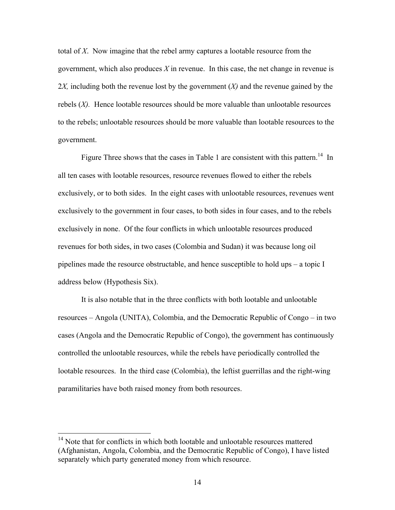total of *X*. Now imagine that the rebel army captures a lootable resource from the government, which also produces *X* in revenue. In this case, the net change in revenue is 2*X,* including both the revenue lost by the government (*X)* and the revenue gained by the rebels  $(X)$ . Hence lootable resources should be more valuable than unlootable resources to the rebels; unlootable resources should be more valuable than lootable resources to the government.

Figure Three shows that the cases in Table 1 are consistent with this pattern.<sup>14</sup> In all ten cases with lootable resources, resource revenues flowed to either the rebels exclusively, or to both sides. In the eight cases with unlootable resources, revenues went exclusively to the government in four cases, to both sides in four cases, and to the rebels exclusively in none. Of the four conflicts in which unlootable resources produced revenues for both sides, in two cases (Colombia and Sudan) it was because long oil pipelines made the resource obstructable, and hence susceptible to hold ups – a topic I address below (Hypothesis Six).

It is also notable that in the three conflicts with both lootable and unlootable resources – Angola (UNITA), Colombia, and the Democratic Republic of Congo – in two cases (Angola and the Democratic Republic of Congo), the government has continuously controlled the unlootable resources, while the rebels have periodically controlled the lootable resources. In the third case (Colombia), the leftist guerrillas and the right-wing paramilitaries have both raised money from both resources.

<span id="page-13-0"></span><sup>&</sup>lt;sup>14</sup> Note that for conflicts in which both lootable and unlootable resources mattered (Afghanistan, Angola, Colombia, and the Democratic Republic of Congo), I have listed separately which party generated money from which resource.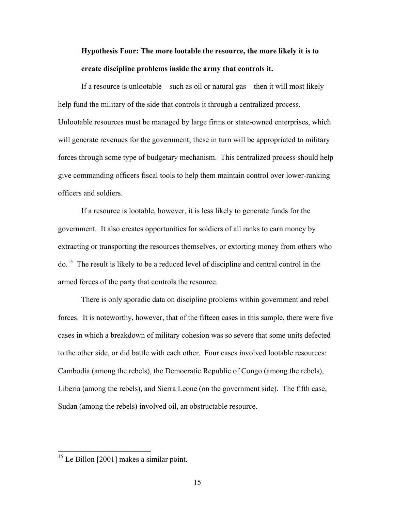## **Hypothesis Four: The more lootable the resource, the more likely it is to create discipline problems inside the army that controls it.**

If a resource is unlootable – such as oil or natural gas – then it will most likely help fund the military of the side that controls it through a centralized process. Unlootable resources must be managed by large firms or state-owned enterprises, which will generate revenues for the government; these in turn will be appropriated to military forces through some type of budgetary mechanism. This centralized process should help give commanding officers fiscal tools to help them maintain control over lower-ranking officers and soldiers.

If a resource is lootable, however, it is less likely to generate funds for the government. It also creates opportunities for soldiers of all ranks to earn money by extracting or transporting the resources themselves, or extorting money from others who do.[15](#page-14-0) The result is likely to be a reduced level of discipline and central control in the armed forces of the party that controls the resource.

There is only sporadic data on discipline problems within government and rebel forces. It is noteworthy, however, that of the fifteen cases in this sample, there were five cases in which a breakdown of military cohesion was so severe that some units defected to the other side, or did battle with each other. Four cases involved lootable resources: Cambodia (among the rebels), the Democratic Republic of Congo (among the rebels), Liberia (among the rebels), and Sierra Leone (on the government side). The fifth case, Sudan (among the rebels) involved oil, an obstructable resource.

<span id="page-14-0"></span> $15$  Le Billon [2001] makes a similar point.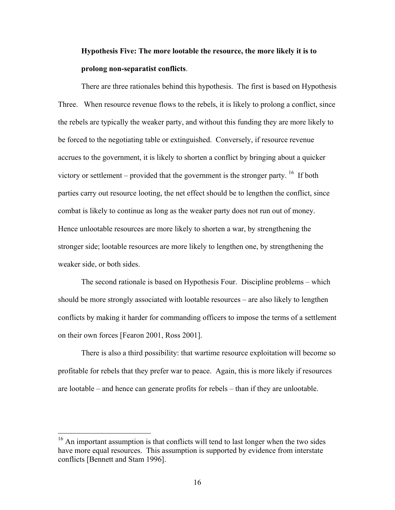## **Hypothesis Five: The more lootable the resource, the more likely it is to prolong non-separatist conflicts**.

There are three rationales behind this hypothesis. The first is based on Hypothesis Three. When resource revenue flows to the rebels, it is likely to prolong a conflict, since the rebels are typically the weaker party, and without this funding they are more likely to be forced to the negotiating table or extinguished. Conversely, if resource revenue accrues to the government, it is likely to shorten a conflict by bringing about a quicker victory or settlement – provided that the government is the stronger party. <sup>16</sup> If both parties carry out resource looting, the net effect should be to lengthen the conflict, since combat is likely to continue as long as the weaker party does not run out of money. Hence unlootable resources are more likely to shorten a war, by strengthening the stronger side; lootable resources are more likely to lengthen one, by strengthening the weaker side, or both sides.

The second rationale is based on Hypothesis Four. Discipline problems – which should be more strongly associated with lootable resources – are also likely to lengthen conflicts by making it harder for commanding officers to impose the terms of a settlement on their own forces [Fearon 2001, Ross 2001].

There is also a third possibility: that wartime resource exploitation will become so profitable for rebels that they prefer war to peace. Again, this is more likely if resources are lootable – and hence can generate profits for rebels – than if they are unlootable.

<span id="page-15-0"></span><sup>&</sup>lt;sup>16</sup> An important assumption is that conflicts will tend to last longer when the two sides have more equal resources. This assumption is supported by evidence from interstate conflicts [Bennett and Stam 1996].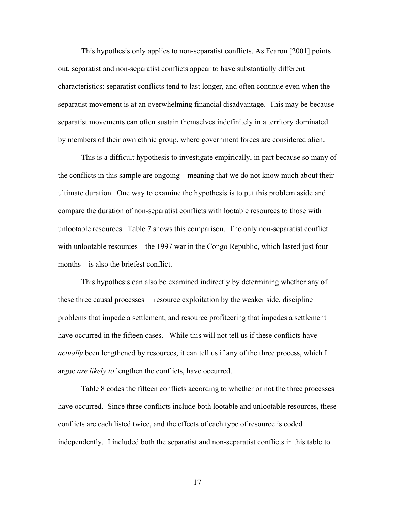This hypothesis only applies to non-separatist conflicts. As Fearon [2001] points out, separatist and non-separatist conflicts appear to have substantially different characteristics: separatist conflicts tend to last longer, and often continue even when the separatist movement is at an overwhelming financial disadvantage. This may be because separatist movements can often sustain themselves indefinitely in a territory dominated by members of their own ethnic group, where government forces are considered alien.

This is a difficult hypothesis to investigate empirically, in part because so many of the conflicts in this sample are ongoing – meaning that we do not know much about their ultimate duration. One way to examine the hypothesis is to put this problem aside and compare the duration of non-separatist conflicts with lootable resources to those with unlootable resources. Table 7 shows this comparison. The only non-separatist conflict with unlootable resources – the 1997 war in the Congo Republic, which lasted just four months – is also the briefest conflict.

This hypothesis can also be examined indirectly by determining whether any of these three causal processes – resource exploitation by the weaker side, discipline problems that impede a settlement, and resource profiteering that impedes a settlement – have occurred in the fifteen cases. While this will not tell us if these conflicts have *actually* been lengthened by resources, it can tell us if any of the three process, which I argue *are likely to* lengthen the conflicts, have occurred.

Table 8 codes the fifteen conflicts according to whether or not the three processes have occurred. Since three conflicts include both lootable and unlootable resources, these conflicts are each listed twice, and the effects of each type of resource is coded independently. I included both the separatist and non-separatist conflicts in this table to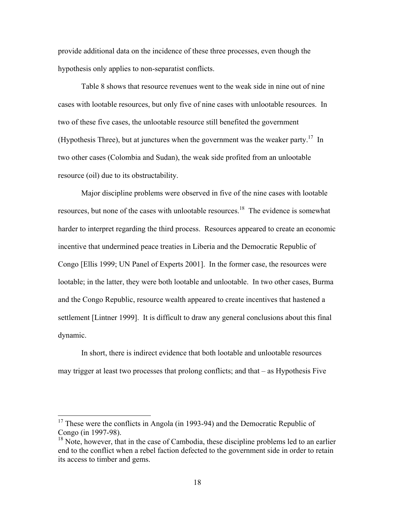provide additional data on the incidence of these three processes, even though the hypothesis only applies to non-separatist conflicts.

Table 8 shows that resource revenues went to the weak side in nine out of nine cases with lootable resources, but only five of nine cases with unlootable resources. In two of these five cases, the unlootable resource still benefited the government (Hypothesis Three), but at junctures when the government was the weaker party.<sup>17</sup> In two other cases (Colombia and Sudan), the weak side profited from an unlootable resource (oil) due to its obstructability.

Major discipline problems were observed in five of the nine cases with lootable resources, but none of the cases with unlootable resources.<sup>18</sup> The evidence is somewhat harder to interpret regarding the third process. Resources appeared to create an economic incentive that undermined peace treaties in Liberia and the Democratic Republic of Congo [Ellis 1999; UN Panel of Experts 2001]. In the former case, the resources were lootable; in the latter, they were both lootable and unlootable. In two other cases, Burma and the Congo Republic, resource wealth appeared to create incentives that hastened a settlement [Lintner 1999]. It is difficult to draw any general conclusions about this final dynamic.

In short, there is indirect evidence that both lootable and unlootable resources may trigger at least two processes that prolong conflicts; and that – as Hypothesis Five

<span id="page-17-0"></span> $17$  These were the conflicts in Angola (in 1993-94) and the Democratic Republic of Congo (in 1997-98).

<span id="page-17-1"></span> $18$  Note, however, that in the case of Cambodia, these discipline problems led to an earlier end to the conflict when a rebel faction defected to the government side in order to retain its access to timber and gems.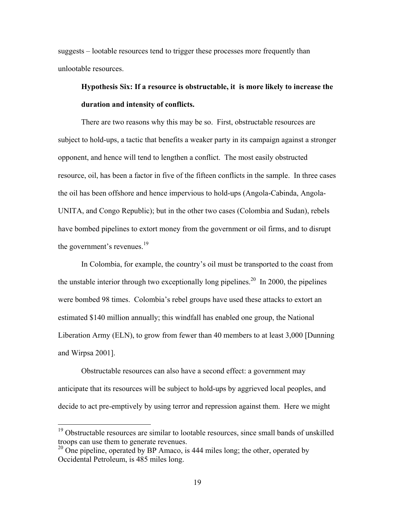suggests – lootable resources tend to trigger these processes more frequently than unlootable resources.

## **Hypothesis Six: If a resource is obstructable, it is more likely to increase the duration and intensity of conflicts.**

There are two reasons why this may be so. First, obstructable resources are subject to hold-ups, a tactic that benefits a weaker party in its campaign against a stronger opponent, and hence will tend to lengthen a conflict. The most easily obstructed resource, oil, has been a factor in five of the fifteen conflicts in the sample. In three cases the oil has been offshore and hence impervious to hold-ups (Angola-Cabinda, Angola-UNITA, and Congo Republic); but in the other two cases (Colombia and Sudan), rebels have bombed pipelines to extort money from the government or oil firms, and to disrupt the government's revenues.<sup>19</sup>

In Colombia, for example, the country's oil must be transported to the coast from the unstable interior through two exceptionally long pipelines.<sup>20</sup> In 2000, the pipelines were bombed 98 times. Colombia's rebel groups have used these attacks to extort an estimated \$140 million annually; this windfall has enabled one group, the National Liberation Army (ELN), to grow from fewer than 40 members to at least 3,000 [Dunning and Wirpsa 2001].

Obstructable resources can also have a second effect: a government may anticipate that its resources will be subject to hold-ups by aggrieved local peoples, and decide to act pre-emptively by using terror and repression against them. Here we might

<span id="page-18-0"></span><sup>&</sup>lt;sup>19</sup> Obstructable resources are similar to lootable resources, since small bands of unskilled troops can use them to generate revenues.

<span id="page-18-1"></span> $20$  One pipeline, operated by BP Amaco, is 444 miles long; the other, operated by Occidental Petroleum, is 485 miles long.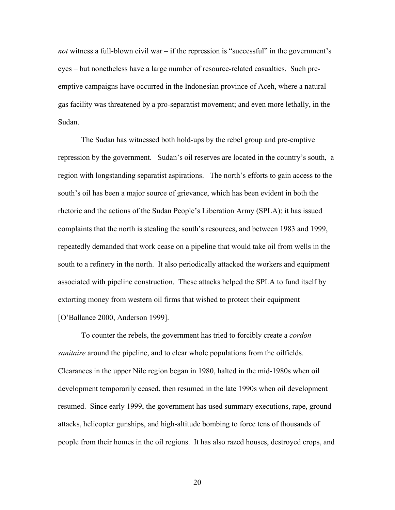*not* witness a full-blown civil war – if the repression is "successful" in the government's eyes – but nonetheless have a large number of resource-related casualties. Such preemptive campaigns have occurred in the Indonesian province of Aceh, where a natural gas facility was threatened by a pro-separatist movement; and even more lethally, in the Sudan.

The Sudan has witnessed both hold-ups by the rebel group and pre-emptive repression by the government. Sudan's oil reserves are located in the country's south, a region with longstanding separatist aspirations. The north's efforts to gain access to the south's oil has been a major source of grievance, which has been evident in both the rhetoric and the actions of the Sudan People's Liberation Army (SPLA): it has issued complaints that the north is stealing the south's resources, and between 1983 and 1999, repeatedly demanded that work cease on a pipeline that would take oil from wells in the south to a refinery in the north. It also periodically attacked the workers and equipment associated with pipeline construction. These attacks helped the SPLA to fund itself by extorting money from western oil firms that wished to protect their equipment [O'Ballance 2000, Anderson 1999].

To counter the rebels, the government has tried to forcibly create a *cordon sanitaire* around the pipeline, and to clear whole populations from the oilfields. Clearances in the upper Nile region began in 1980, halted in the mid-1980s when oil development temporarily ceased, then resumed in the late 1990s when oil development resumed. Since early 1999, the government has used summary executions, rape, ground attacks, helicopter gunships, and high-altitude bombing to force tens of thousands of people from their homes in the oil regions. It has also razed houses, destroyed crops, and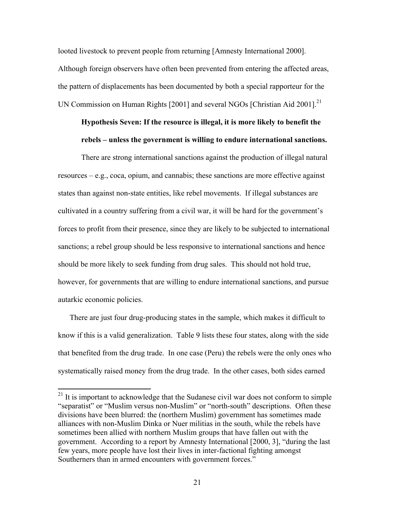looted livestock to prevent people from returning [Amnesty International 2000]. Although foreign observers have often been prevented from entering the affected areas, the pattern of displacements has been documented by both a special rapporteur for the UN Commission on Human Rights  $[2001]$  and several NGOs [Christian Aid 2001].<sup>21</sup>

## **Hypothesis Seven: If the resource is illegal, it is more likely to benefit the rebels – unless the government is willing to endure international sanctions.**

There are strong international sanctions against the production of illegal natural resources – e.g., coca, opium, and cannabis; these sanctions are more effective against states than against non-state entities, like rebel movements. If illegal substances are cultivated in a country suffering from a civil war, it will be hard for the government's forces to profit from their presence, since they are likely to be subjected to international sanctions; a rebel group should be less responsive to international sanctions and hence should be more likely to seek funding from drug sales. This should not hold true, however, for governments that are willing to endure international sanctions, and pursue autarkic economic policies.

There are just four drug-producing states in the sample, which makes it difficult to know if this is a valid generalization. Table 9 lists these four states, along with the side that benefited from the drug trade. In one case (Peru) the rebels were the only ones who systematically raised money from the drug trade. In the other cases, both sides earned

<span id="page-20-0"></span> $2<sup>1</sup>$  It is important to acknowledge that the Sudanese civil war does not conform to simple "separatist" or "Muslim versus non-Muslim" or "north-south" descriptions. Often these divisions have been blurred: the (northern Muslim) government has sometimes made alliances with non-Muslim Dinka or Nuer militias in the south, while the rebels have sometimes been allied with northern Muslim groups that have fallen out with the government. According to a report by Amnesty International [2000, 3], "during the last few years, more people have lost their lives in inter-factional fighting amongst Southerners than in armed encounters with government forces."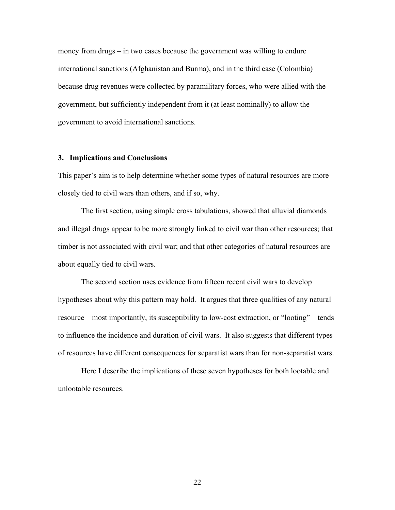money from drugs – in two cases because the government was willing to endure international sanctions (Afghanistan and Burma), and in the third case (Colombia) because drug revenues were collected by paramilitary forces, who were allied with the government, but sufficiently independent from it (at least nominally) to allow the government to avoid international sanctions.

#### **3. Implications and Conclusions**

This paper's aim is to help determine whether some types of natural resources are more closely tied to civil wars than others, and if so, why.

The first section, using simple cross tabulations, showed that alluvial diamonds and illegal drugs appear to be more strongly linked to civil war than other resources; that timber is not associated with civil war; and that other categories of natural resources are about equally tied to civil wars.

The second section uses evidence from fifteen recent civil wars to develop hypotheses about why this pattern may hold. It argues that three qualities of any natural resource – most importantly, its susceptibility to low-cost extraction, or "looting" – tends to influence the incidence and duration of civil wars. It also suggests that different types of resources have different consequences for separatist wars than for non-separatist wars.

Here I describe the implications of these seven hypotheses for both lootable and unlootable resources.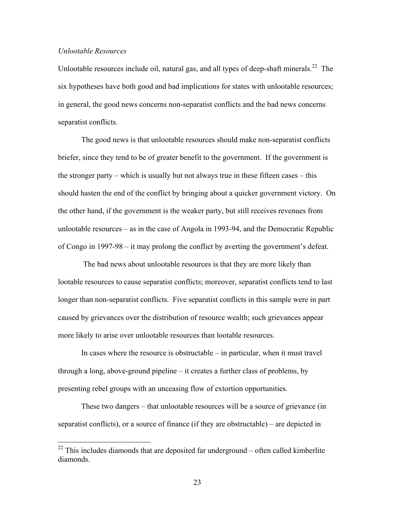#### *Unlootable Resources*

 $\overline{a}$ 

Unlootable resources include oil, natural gas, and all types of deep-shaft minerals.<sup>22</sup> The six hypotheses have both good and bad implications for states with unlootable resources; in general, the good news concerns non-separatist conflicts and the bad news concerns separatist conflicts.

The good news is that unlootable resources should make non-separatist conflicts briefer, since they tend to be of greater benefit to the government. If the government is the stronger party – which is usually but not always true in these fifteen cases – this should hasten the end of the conflict by bringing about a quicker government victory. On the other hand, if the government is the weaker party, but still receives revenues from unlootable resources – as in the case of Angola in 1993-94, and the Democratic Republic of Congo in 1997-98 – it may prolong the conflict by averting the government's defeat.

 The bad news about unlootable resources is that they are more likely than lootable resources to cause separatist conflicts; moreover, separatist conflicts tend to last longer than non-separatist conflicts. Five separatist conflicts in this sample were in part caused by grievances over the distribution of resource wealth; such grievances appear more likely to arise over unlootable resources than lootable resources.

In cases where the resource is obstructable – in particular, when it must travel through a long, above-ground pipeline – it creates a further class of problems, by presenting rebel groups with an unceasing flow of extortion opportunities.

These two dangers – that unlootable resources will be a source of grievance (in separatist conflicts), or a source of finance (if they are obstructable) – are depicted in

<span id="page-22-0"></span> $22$  This includes diamonds that are deposited far underground – often called kimberlite diamonds.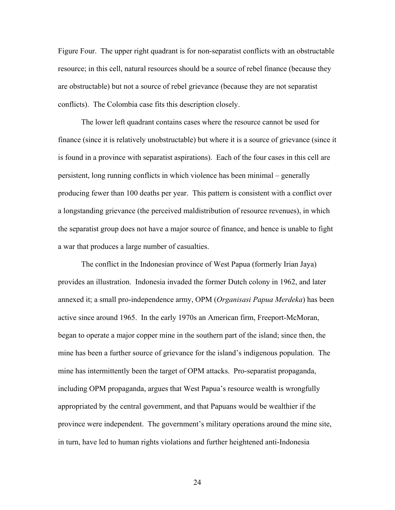Figure Four. The upper right quadrant is for non-separatist conflicts with an obstructable resource; in this cell, natural resources should be a source of rebel finance (because they are obstructable) but not a source of rebel grievance (because they are not separatist conflicts). The Colombia case fits this description closely.

The lower left quadrant contains cases where the resource cannot be used for finance (since it is relatively unobstructable) but where it is a source of grievance (since it is found in a province with separatist aspirations). Each of the four cases in this cell are persistent, long running conflicts in which violence has been minimal – generally producing fewer than 100 deaths per year. This pattern is consistent with a conflict over a longstanding grievance (the perceived maldistribution of resource revenues), in which the separatist group does not have a major source of finance, and hence is unable to fight a war that produces a large number of casualties.

The conflict in the Indonesian province of West Papua (formerly Irian Jaya) provides an illustration. Indonesia invaded the former Dutch colony in 1962, and later annexed it; a small pro-independence army, OPM (*Organisasi Papua Merdeka*) has been active since around 1965. In the early 1970s an American firm, Freeport-McMoran, began to operate a major copper mine in the southern part of the island; since then, the mine has been a further source of grievance for the island's indigenous population. The mine has intermittently been the target of OPM attacks. Pro-separatist propaganda, including OPM propaganda, argues that West Papua's resource wealth is wrongfully appropriated by the central government, and that Papuans would be wealthier if the province were independent. The government's military operations around the mine site, in turn, have led to human rights violations and further heightened anti-Indonesia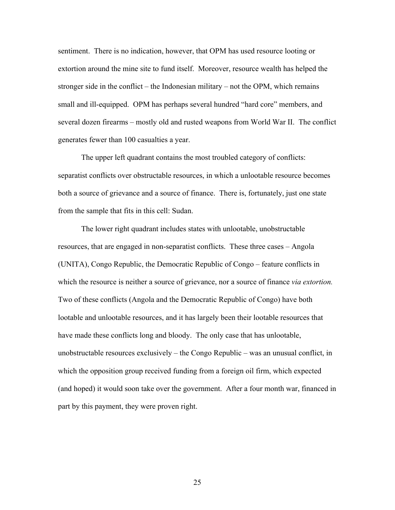sentiment. There is no indication, however, that OPM has used resource looting or extortion around the mine site to fund itself. Moreover, resource wealth has helped the stronger side in the conflict – the Indonesian military – not the OPM, which remains small and ill-equipped. OPM has perhaps several hundred "hard core" members, and several dozen firearms – mostly old and rusted weapons from World War II. The conflict generates fewer than 100 casualties a year.

The upper left quadrant contains the most troubled category of conflicts: separatist conflicts over obstructable resources, in which a unlootable resource becomes both a source of grievance and a source of finance. There is, fortunately, just one state from the sample that fits in this cell: Sudan.

The lower right quadrant includes states with unlootable, unobstructable resources, that are engaged in non-separatist conflicts. These three cases – Angola (UNITA), Congo Republic, the Democratic Republic of Congo – feature conflicts in which the resource is neither a source of grievance, nor a source of finance *via extortion.* Two of these conflicts (Angola and the Democratic Republic of Congo) have both lootable and unlootable resources, and it has largely been their lootable resources that have made these conflicts long and bloody. The only case that has unlootable, unobstructable resources exclusively – the Congo Republic – was an unusual conflict, in which the opposition group received funding from a foreign oil firm, which expected (and hoped) it would soon take over the government. After a four month war, financed in part by this payment, they were proven right.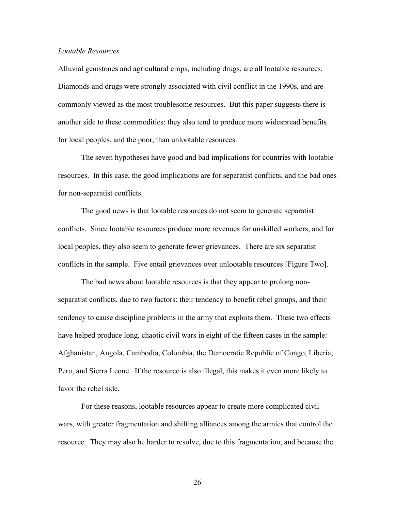#### *Lootable Resources*

Alluvial gemstones and agricultural crops, including drugs, are all lootable resources. Diamonds and drugs were strongly associated with civil conflict in the 1990s, and are commonly viewed as the most troublesome resources. But this paper suggests there is another side to these commodities: they also tend to produce more widespread benefits for local peoples, and the poor, than unlootable resources.

The seven hypotheses have good and bad implications for countries with lootable resources. In this case, the good implications are for separatist conflicts, and the bad ones for non-separatist conflicts.

The good news is that lootable resources do not seem to generate separatist conflicts. Since lootable resources produce more revenues for unskilled workers, and for local peoples, they also seem to generate fewer grievances. There are six separatist conflicts in the sample. Five entail grievances over unlootable resources [Figure Two].

The bad news about lootable resources is that they appear to prolong nonseparatist conflicts, due to two factors: their tendency to benefit rebel groups, and their tendency to cause discipline problems in the army that exploits them. These two effects have helped produce long, chaotic civil wars in eight of the fifteen cases in the sample: Afghanistan, Angola, Cambodia, Colombia, the Democratic Republic of Congo, Liberia, Peru, and Sierra Leone. If the resource is also illegal, this makes it even more likely to favor the rebel side.

For these reasons, lootable resources appear to create more complicated civil wars, with greater fragmentation and shifting alliances among the armies that control the resource. They may also be harder to resolve, due to this fragmentation, and because the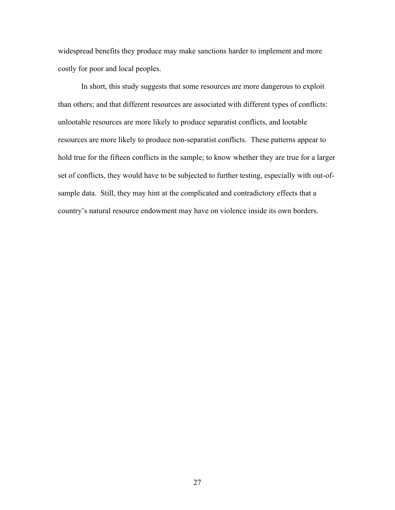widespread benefits they produce may make sanctions harder to implement and more costly for poor and local peoples.

In short, this study suggests that some resources are more dangerous to exploit than others; and that different resources are associated with different types of conflicts: unlootable resources are more likely to produce separatist conflicts, and lootable resources are more likely to produce non-separatist conflicts. These patterns appear to hold true for the fifteen conflicts in the sample; to know whether they are true for a larger set of conflicts, they would have to be subjected to further testing, especially with out-ofsample data. Still, they may hint at the complicated and contradictory effects that a country's natural resource endowment may have on violence inside its own borders.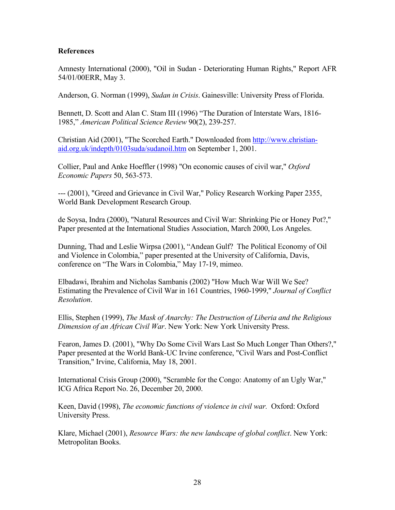#### **References**

Amnesty International (2000), "Oil in Sudan - Deteriorating Human Rights," Report AFR 54/01/00ERR, May 3.

Anderson, G. Norman (1999), *Sudan in Crisis*. Gainesville: University Press of Florida.

Bennett, D. Scott and Alan C. Stam III (1996) "The Duration of Interstate Wars, 1816- 1985," *American Political Science Review* 90(2), 239-257.

Christian Aid (2001), "The Scorched Earth." Downloaded from [http://www.christian](http://www.christian-aid.org.uk/indepth/0103suda/sudanoil.htm)[aid.org.uk/indepth/0103suda/sudanoil.htm](http://www.christian-aid.org.uk/indepth/0103suda/sudanoil.htm) on September 1, 2001.

Collier, Paul and Anke Hoeffler (1998) "On economic causes of civil war," *Oxford Economic Papers* 50, 563-573.

--- (2001), "Greed and Grievance in Civil War," Policy Research Working Paper 2355, World Bank Development Research Group.

de Soysa, Indra (2000), "Natural Resources and Civil War: Shrinking Pie or Honey Pot?," Paper presented at the International Studies Association, March 2000, Los Angeles.

Dunning, Thad and Leslie Wirpsa (2001), "Andean Gulf? The Political Economy of Oil and Violence in Colombia," paper presented at the University of California, Davis, conference on "The Wars in Colombia," May 17-19, mimeo.

Elbadawi, Ibrahim and Nicholas Sambanis (2002) "How Much War Will We See? Estimating the Prevalence of Civil War in 161 Countries, 1960-1999," *Journal of Conflict Resolution*.

Ellis, Stephen (1999), *The Mask of Anarchy: The Destruction of Liberia and the Religious Dimension of an African Civil War*. New York: New York University Press.

Fearon, James D. (2001), "Why Do Some Civil Wars Last So Much Longer Than Others?," Paper presented at the World Bank-UC Irvine conference, "Civil Wars and Post-Conflict Transition," Irvine, California, May 18, 2001.

International Crisis Group (2000), "Scramble for the Congo: Anatomy of an Ugly War," ICG Africa Report No. 26, December 20, 2000.

Keen, David (1998), *The economic functions of violence in civil war.* Oxford: Oxford University Press.

Klare, Michael (2001), *Resource Wars: the new landscape of global conflict*. New York: Metropolitan Books.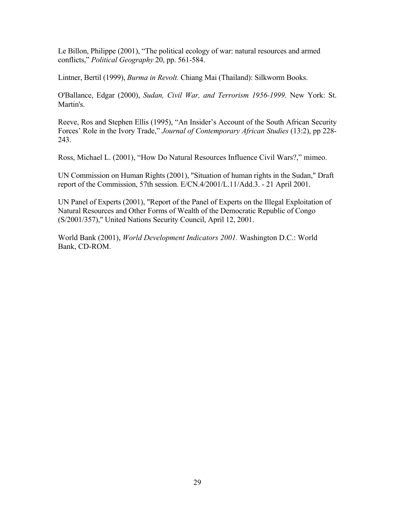Le Billon, Philippe (2001), "The political ecology of war: natural resources and armed conflicts," *Political Geography* 20, pp. 561-584.

Lintner, Bertil (1999), *Burma in Revolt.* Chiang Mai (Thailand): Silkworm Books.

O'Ballance, Edgar (2000), *Sudan, Civil War, and Terrorism 1956-1999*. New York: St. Martin's.

Reeve, Ros and Stephen Ellis (1995), "An Insider's Account of the South African Security Forces' Role in the Ivory Trade," *Journal of Contemporary African Studies* (13:2), pp 228- 243.

Ross, Michael L. (2001), "How Do Natural Resources Influence Civil Wars?," mimeo.

UN Commission on Human Rights (2001), "Situation of human rights in the Sudan," Draft report of the Commission, 57th session. E/CN.4/2001/L.11/Add.3. - 21 April 2001.

UN Panel of Experts (2001), "Report of the Panel of Experts on the Illegal Exploitation of Natural Resources and Other Forms of Wealth of the Democratic Republic of Congo (S/2001/357)," United Nations Security Council, April 12, 2001.

World Bank (2001), *World Development Indicators 2001.* Washington D.C.: World Bank, CD-ROM.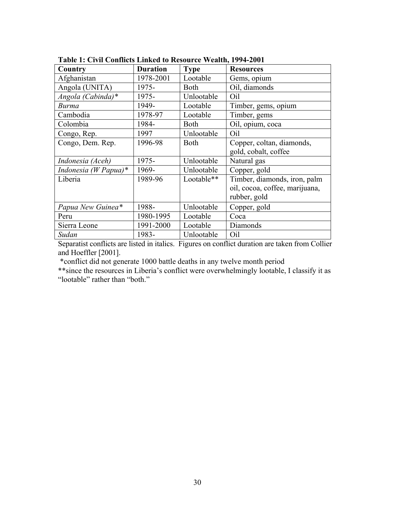| Country              | <b>Duration</b> | <b>Type</b> | <b>Resources</b>               |
|----------------------|-----------------|-------------|--------------------------------|
| Afghanistan          | 1978-2001       | Lootable    | Gems, opium                    |
| Angola (UNITA)       | 1975-           | <b>Both</b> | Oil, diamonds                  |
| Angola (Cabinda)*    | 1975-           | Unlootable  | Oil                            |
| <b>Burma</b>         | 1949-           | Lootable    | Timber, gems, opium            |
| Cambodia             | 1978-97         | Lootable    | Timber, gems                   |
| Colombia             | 1984-           | <b>Both</b> | Oil, opium, coca               |
| Congo, Rep.          | 1997            | Unlootable  | Oil                            |
| Congo, Dem. Rep.     | 1996-98         | <b>Both</b> | Copper, coltan, diamonds,      |
|                      |                 |             | gold, cobalt, coffee           |
| Indonesia (Aceh)     | 1975-           | Unlootable  | Natural gas                    |
| Indonesia (W Papua)* | 1969-           | Unlootable  | Copper, gold                   |
| Liberia              | 1989-96         | Lootable**  | Timber, diamonds, iron, palm   |
|                      |                 |             | oil, cocoa, coffee, marijuana, |
|                      |                 |             | rubber, gold                   |
| Papua New Guinea*    | 1988-           | Unlootable  | Copper, gold                   |
| Peru                 | 1980-1995       | Lootable    | Coca                           |
| Sierra Leone         | 1991-2000       | Lootable    | Diamonds                       |
| Sudan                | 1983-           | Unlootable  | Oil                            |

**Table 1: Civil Conflicts Linked to Resource Wealth, 1994-2001** 

Separatist conflicts are listed in italics. Figures on conflict duration are taken from Collier and Hoeffler [2001].

\*conflict did not generate 1000 battle deaths in any twelve month period

\*\*since the resources in Liberia's conflict were overwhelmingly lootable, I classify it as "lootable" rather than "both."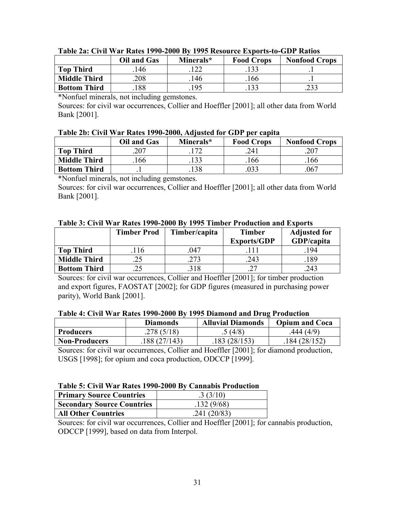|                     | Oil and Gas | Minerals* | <b>Food Crops</b> | <b>Nonfood Crops</b> |
|---------------------|-------------|-----------|-------------------|----------------------|
| <b>Top Third</b>    | 146         |           | 133               |                      |
| <b>Middle Third</b> | 208         | 146       | 166               |                      |
| <b>Bottom Third</b> | 88ء         | 195       |                   | 233                  |

#### **Table 2a: Civil War Rates 1990-2000 By 1995 Resource Exports-to-GDP Ratios**

\*Nonfuel minerals, not including gemstones.

Sources: for civil war occurrences, Collier and Hoeffler [2001]; all other data from World Bank [2001].

#### **Table 2b: Civil War Rates 1990-2000, Adjusted for GDP per capita**

|                     | Oil and Gas | Minerals* | <b>Food Crops</b> | <b>Nonfood Crops</b> |
|---------------------|-------------|-----------|-------------------|----------------------|
| <b>Top Third</b>    | 207         |           | 241               | .207                 |
| <b>Middle Third</b> | 166         | 133       | .166              | 166                  |
| <b>Bottom Third</b> |             |           |                   | 067                  |

\*Nonfuel minerals, not including gemstones.

Sources: for civil war occurrences, Collier and Hoeffler [2001]; all other data from World Bank [2001].

|                     | <b>Timber Prod</b> | Timber/capita | <b>Timber</b><br><b>Exports/GDP</b> | <b>Adjusted for</b><br>GDP/capita |
|---------------------|--------------------|---------------|-------------------------------------|-----------------------------------|
| <b>Top Third</b>    | .116               | 047           | 111                                 | .194                              |
| <b>Middle Third</b> |                    | 273           | 243                                 | 189                               |
| <b>Bottom Third</b> |                    | 318           |                                     | 243                               |

#### **Table 3: Civil War Rates 1990-2000 By 1995 Timber Production and Exports**

Sources: for civil war occurrences, Collier and Hoeffler [2001]; for timber production and export figures, FAOSTAT [2002]; for GDP figures (measured in purchasing power parity), World Bank [2001].

#### **Table 4: Civil War Rates 1990-2000 By 1995 Diamond and Drug Production**

|                      | <b>Diamonds</b> | <b>Alluvial Diamonds</b> | <b>Opium and Coca</b> |
|----------------------|-----------------|--------------------------|-----------------------|
| <b>Producers</b>     | .278(5/18)      | (4/8)                    | .444(4/9)             |
| <b>Non-Producers</b> | .188(27/143)    | 183 (28/153)             | .184 (28/152)         |

Sources: for civil war occurrences, Collier and Hoeffler [2001]; for diamond production, USGS [1998]; for opium and coca production, ODCCP [1999].

#### **Table 5: Civil War Rates 1990-2000 By Cannabis Production**

| <b>Primary Source Countries</b>   | .3(3/10)    |
|-----------------------------------|-------------|
| <b>Secondary Source Countries</b> | .132(9/68)  |
| <b>All Other Countries</b>        | .241(20/83) |

Sources: for civil war occurrences, Collier and Hoeffler [2001]; for cannabis production, ODCCP [1999], based on data from Interpol.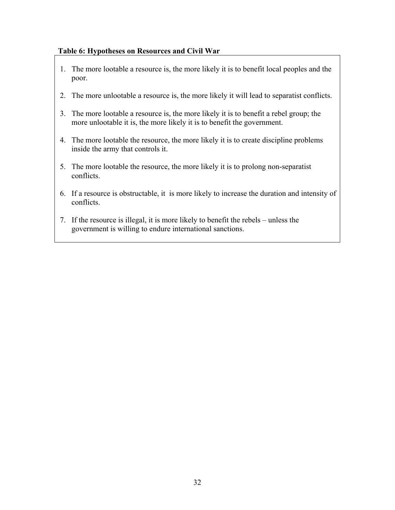#### **Table 6: Hypotheses on Resources and Civil War**

- 1. The more lootable a resource is, the more likely it is to benefit local peoples and the poor.
- 2. The more unlootable a resource is, the more likely it will lead to separatist conflicts.
- 3. The more lootable a resource is, the more likely it is to benefit a rebel group; the more unlootable it is, the more likely it is to benefit the government.
- 4. The more lootable the resource, the more likely it is to create discipline problems inside the army that controls it.
- 5. The more lootable the resource, the more likely it is to prolong non-separatist conflicts.
- 6. If a resource is obstructable, it is more likely to increase the duration and intensity of conflicts.
- 7. If the resource is illegal, it is more likely to benefit the rebels unless the government is willing to endure international sanctions.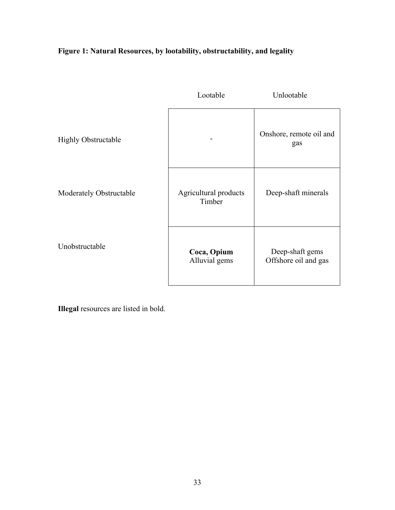### **Figure 1: Natural Resources, by lootability, obstructability, and legality**

|                            | Lootable                        | Unlootable                              |
|----------------------------|---------------------------------|-----------------------------------------|
| <b>Highly Obstructable</b> |                                 | Onshore, remote oil and<br>gas          |
| Moderately Obstructable    | Agricultural products<br>Timber | Deep-shaft minerals                     |
| Unobstructable             | Coca, Opium<br>Alluvial gems    | Deep-shaft gems<br>Offshore oil and gas |

**Illegal** resources are listed in bold.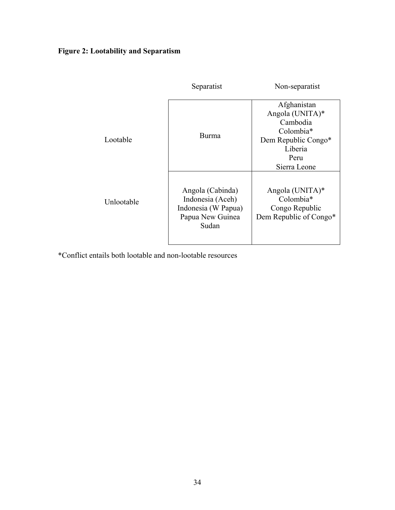### **Figure 2: Lootability and Separatism**

|            | Separatist                                                                               | Non-separatist                                                                                                    |
|------------|------------------------------------------------------------------------------------------|-------------------------------------------------------------------------------------------------------------------|
| Lootable   | <b>Burma</b>                                                                             | Afghanistan<br>Angola (UNITA)*<br>Cambodia<br>Colombia*<br>Dem Republic Congo*<br>Liberia<br>Peru<br>Sierra Leone |
| Unlootable | Angola (Cabinda)<br>Indonesia (Aceh)<br>Indonesia (W Papua)<br>Papua New Guinea<br>Sudan | Angola (UNITA)*<br>Colombia*<br>Congo Republic<br>Dem Republic of Congo*                                          |

\*Conflict entails both lootable and non-lootable resources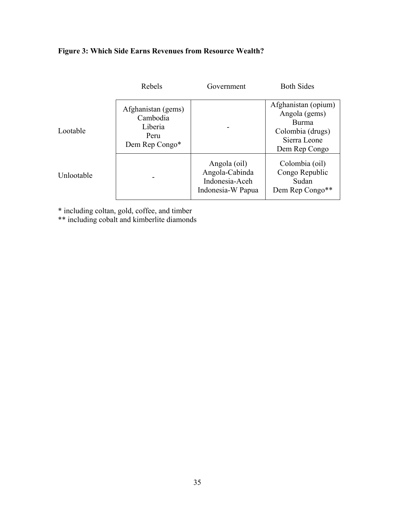### **Figure 3: Which Side Earns Revenues from Resource Wealth?**

|            | Rebels                                                              | Government                                                            | <b>Both Sides</b>                                                                                         |
|------------|---------------------------------------------------------------------|-----------------------------------------------------------------------|-----------------------------------------------------------------------------------------------------------|
| Lootable   | Afghanistan (gems)<br>Cambodia<br>Liberia<br>Peru<br>Dem Rep Congo* |                                                                       | Afghanistan (opium)<br>Angola (gems)<br><b>Burma</b><br>Colombia (drugs)<br>Sierra Leone<br>Dem Rep Congo |
| Unlootable |                                                                     | Angola (oil)<br>Angola-Cabinda<br>Indonesia-Aceh<br>Indonesia-W Papua | Colombia (oil)<br>Congo Republic<br>Sudan<br>Dem Rep Congo**                                              |

\* including coltan, gold, coffee, and timber

\*\* including cobalt and kimberlite diamonds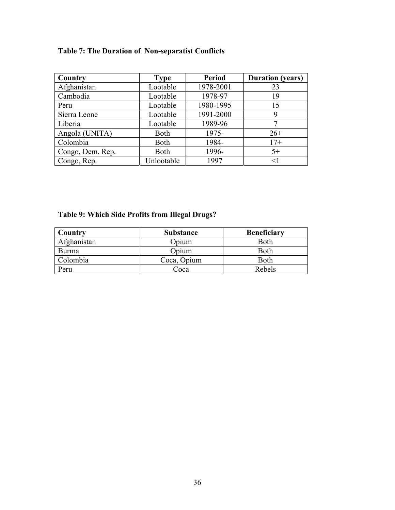### **Table 7: The Duration of Non-separatist Conflicts**

| Country          | <b>Type</b> | <b>Period</b> | <b>Duration</b> (years) |
|------------------|-------------|---------------|-------------------------|
| Afghanistan      | Lootable    | 1978-2001     | 23                      |
| Cambodia         | Lootable    | 1978-97       | 19                      |
| Peru             | Lootable    | 1980-1995     | 15                      |
| Sierra Leone     | Lootable    | 1991-2000     | 9                       |
| Liberia          | Lootable    | 1989-96       |                         |
| Angola (UNITA)   | <b>Both</b> | 1975-         | $26+$                   |
| Colombia         | Both        | 1984-         | $17+$                   |
| Congo, Dem. Rep. | <b>Both</b> | 1996-         | $5+$                    |
| Congo, Rep.      | Unlootable  | 1997          | $<$ 1                   |

### **Table 9: Which Side Profits from Illegal Drugs?**

| Country     | <b>Substance</b> | <b>Beneficiary</b> |
|-------------|------------------|--------------------|
| Afghanistan | Opium            | <b>Both</b>        |
| Burma       | Opium            | Both               |
| Colombia    | Coca, Opium      | Both               |
| Peru        | Coca             | Rebels             |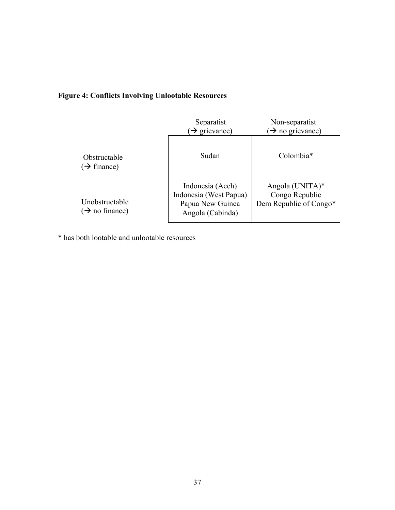### **Figure 4: Conflicts Involving Unlootable Resources**

|                                              | Separatist<br>$\rightarrow$ grievance)                                             | Non-separatist<br>$\rightarrow$ no grievance)               |
|----------------------------------------------|------------------------------------------------------------------------------------|-------------------------------------------------------------|
| Obstructable<br>$(\rightarrow$ finance)      | Sudan                                                                              | Colombia <sup>*</sup>                                       |
| Unobstructable<br>$(\rightarrow$ no finance) | Indonesia (Aceh)<br>Indonesia (West Papua)<br>Papua New Guinea<br>Angola (Cabinda) | Angola (UNITA)*<br>Congo Republic<br>Dem Republic of Congo* |

\* has both lootable and unlootable resources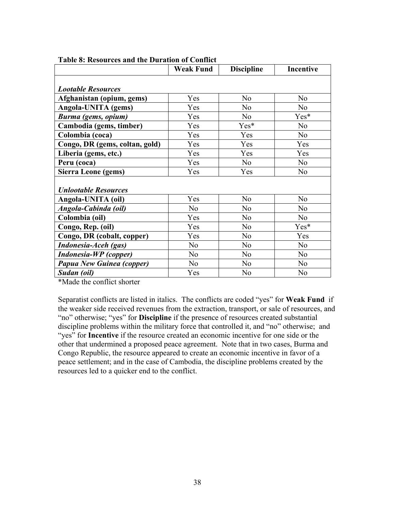|                                | <b>Weak Fund</b> | <b>Discipline</b> | <b>Incentive</b> |
|--------------------------------|------------------|-------------------|------------------|
|                                |                  |                   |                  |
| <b>Lootable Resources</b>      |                  |                   |                  |
| Afghanistan (opium, gems)      | Yes              | N <sub>0</sub>    | No               |
| Angola-UNITA (gems)            | Yes              | N <sub>0</sub>    | N <sub>o</sub>   |
| Burma (gems, opium)            | Yes              | N <sub>o</sub>    | Yes*             |
| Cambodia (gems, timber)        | Yes              | Yes*              | N <sub>o</sub>   |
| Colombia (coca)                | Yes              | Yes               | No               |
| Congo, DR (gems, coltan, gold) | Yes              | Yes               | Yes              |
| Liberia (gems, etc.)           | Yes              | Yes               | Yes              |
| Peru (coca)                    | Yes              | N <sub>o</sub>    | N <sub>o</sub>   |
| <b>Sierra Leone (gems)</b>     | Yes              | Yes               | N <sub>o</sub>   |
|                                |                  |                   |                  |
| <b>Unlootable Resources</b>    |                  |                   |                  |
| Angola-UNITA (oil)             | Yes              | N <sub>0</sub>    | N <sub>o</sub>   |
| Angola-Cabinda (oil)           | N <sub>o</sub>   | N <sub>o</sub>    | N <sub>o</sub>   |
| Colombia (oil)                 | Yes              | N <sub>0</sub>    | N <sub>o</sub>   |
| Congo, Rep. (oil)              | Yes              | N <sub>0</sub>    | Yes*             |
| Congo, DR (cobalt, copper)     | Yes              | N <sub>0</sub>    | Yes              |
| Indonesia-Aceh (gas)           | N <sub>o</sub>   | N <sub>0</sub>    | N <sub>0</sub>   |
| <b>Indonesia-WP</b> (copper)   | N <sub>0</sub>   | N <sub>0</sub>    | N <sub>0</sub>   |
| Papua New Guinea (copper)      | N <sub>o</sub>   | N <sub>0</sub>    | N <sub>0</sub>   |
| Sudan (oil)                    | Yes              | N <sub>o</sub>    | N <sub>o</sub>   |

#### **Table 8: Resources and the Duration of Conflict**

\*Made the conflict shorter

Separatist conflicts are listed in italics. The conflicts are coded "yes" for **Weak Fund** if the weaker side received revenues from the extraction, transport, or sale of resources, and "no" otherwise; "yes" for **Discipline** if the presence of resources created substantial discipline problems within the military force that controlled it, and "no" otherwise; and "yes" for **Incentive** if the resource created an economic incentive for one side or the other that undermined a proposed peace agreement. Note that in two cases, Burma and Congo Republic, the resource appeared to create an economic incentive in favor of a peace settlement; and in the case of Cambodia, the discipline problems created by the resources led to a quicker end to the conflict.